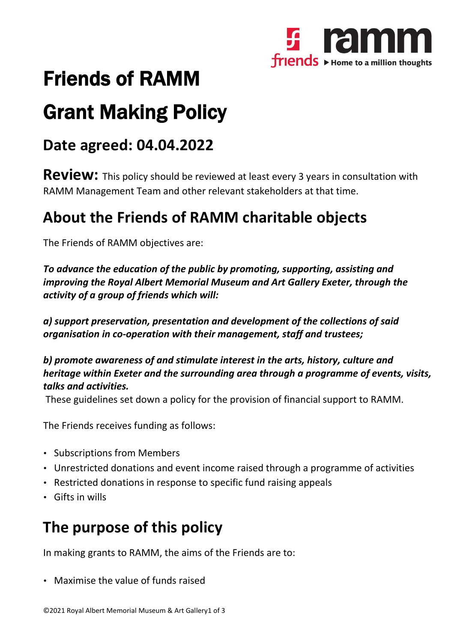

# Friends of RAMM

# Grant Making Policy

## **Date agreed: 04.04.2022**

**Review:** This policy should be reviewed at least every <sup>3</sup> years in consultation with RAMM Management Team and other relevant stakeholders at that time.

## **About the Friends of RAMM charitable objects**

The Friends of RAMM objectives are:

*To advance the education of the public by promoting, supporting, assisting and improving the Royal Albert Memorial Museum and Art Gallery Exeter, through the activity of a group of friends which will:*

*a) support preservation, presentation and development of the collections of said organisation in co-operation with their management, staff and trustees;*

*b) promote awareness of and stimulate interest in the arts, history, culture and heritage within Exeter and the surrounding area through a programme of events, visits, talks and activities.*

These guidelines set down a policy for the provision of financial support to RAMM.

The Friends receives funding as follows:

- Subscriptions from Members
- Unrestricted donations and event income raised through a programme of activities
- Restricted donations in response to specific fund raising appeals
- Gifts in wills

## **The purpose of this policy**

In making grants to RAMM, the aims of the Friends are to:

• Maximise the value of funds raised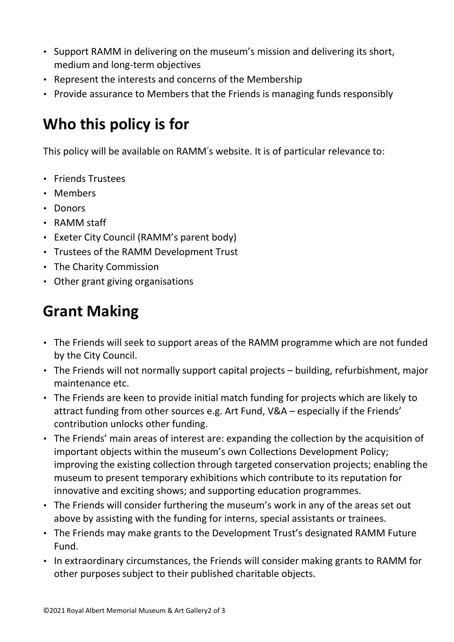- Support RAMM in delivering on the museum's mission and delivering its short, medium and long-term objectives
- Represent the interests and concerns of the Membership
- Provide assurance to Members that the Friends is managing funds responsibly

# **Who this policy is for**

This policy will be available on RAMM's website. It is of particular relevance to:

- Friends Trustees
- Members
- Donors
- RAMM staff
- Exeter City Council (RAMM's parent body)
- Trustees of the RAMM Development Trust
- The Charity Commission
- Other grant giving organisations

# **Grant Making**

- The Friends will seek to support areas of the RAMM programme which are not funded by the City Council.
- The Friends will not normally support capital projects building, refurbishment, major maintenance etc.
- The Friends are keen to provide initial match funding for projects which are likely to attract funding from other sources e.g. Art Fund, V&A – especially if the Friends' contribution unlocks other funding.
- The Friends' main areas of interest are: expanding the collection by the acquisition of important objects within the museum's own Collections Development Policy; improving the existing collection through targeted conservation projects; enabling the museum to present temporary exhibitions which contribute to its reputation for innovative and exciting shows; and supporting education programmes.
- The Friends will consider furthering the museum's work in any of the areas set out above by assisting with the funding for interns, special assistants or trainees.
- The Friends may make grants to the Development Trust's designated RAMM Future Fund.
- In extraordinary circumstances, the Friends will consider making grants to RAMM for other purposes subject to their published charitable objects.